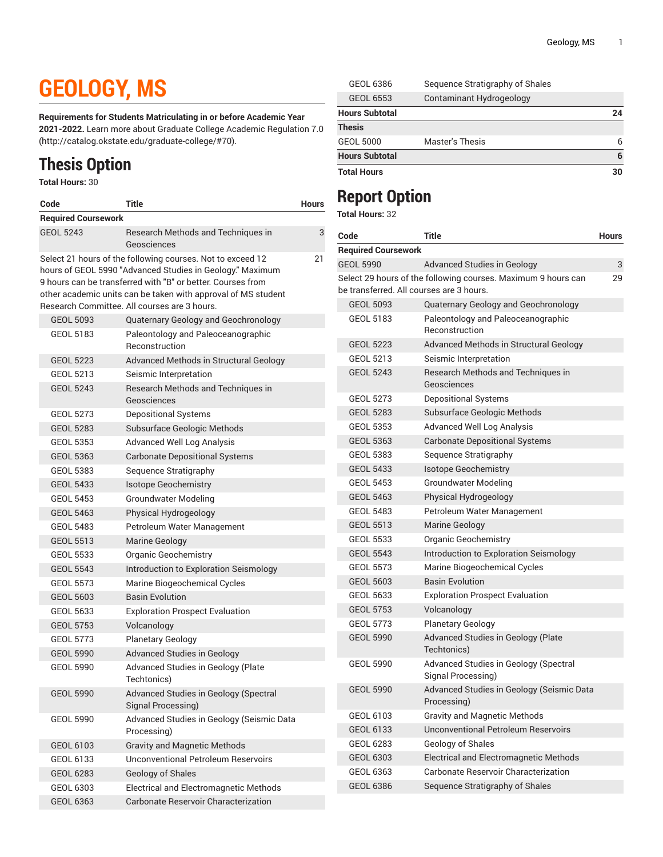## **GEOLOGY, MS**

**Requirements for Students Matriculating in or before Academic Year**

**2021-2022.** Learn more about [Graduate College Academic Regulation 7.0](http://catalog.okstate.edu/graduate-college/#70) (<http://catalog.okstate.edu/graduate-college/#70>).

## **Thesis Option**

**Total Hours:** 30

| Code                       | <b>Title</b>                                                                                                                                                                                                                                                                                            | <b>Hours</b> |
|----------------------------|---------------------------------------------------------------------------------------------------------------------------------------------------------------------------------------------------------------------------------------------------------------------------------------------------------|--------------|
| <b>Required Coursework</b> |                                                                                                                                                                                                                                                                                                         |              |
| <b>GEOL 5243</b>           | Research Methods and Techniques in<br>Geosciences                                                                                                                                                                                                                                                       | 3            |
|                            | Select 21 hours of the following courses. Not to exceed 12<br>hours of GEOL 5990 "Advanced Studies in Geology." Maximum<br>9 hours can be transferred with "B" or better. Courses from<br>other academic units can be taken with approval of MS student<br>Research Committee. All courses are 3 hours. | 21           |
| <b>GEOL 5093</b>           | Quaternary Geology and Geochronology                                                                                                                                                                                                                                                                    |              |
| GEOL 5183                  | Paleontology and Paleoceanographic<br>Reconstruction                                                                                                                                                                                                                                                    |              |
| <b>GEOL 5223</b>           | Advanced Methods in Structural Geology                                                                                                                                                                                                                                                                  |              |
| <b>GEOL 5213</b>           | Seismic Interpretation                                                                                                                                                                                                                                                                                  |              |
| <b>GEOL 5243</b>           | Research Methods and Techniques in<br>Geosciences                                                                                                                                                                                                                                                       |              |
| <b>GEOL 5273</b>           | <b>Depositional Systems</b>                                                                                                                                                                                                                                                                             |              |
| <b>GEOL 5283</b>           | Subsurface Geologic Methods                                                                                                                                                                                                                                                                             |              |
| <b>GEOL 5353</b>           | <b>Advanced Well Log Analysis</b>                                                                                                                                                                                                                                                                       |              |
| <b>GEOL 5363</b>           | <b>Carbonate Depositional Systems</b>                                                                                                                                                                                                                                                                   |              |
| <b>GEOL 5383</b>           | Sequence Stratigraphy                                                                                                                                                                                                                                                                                   |              |
| <b>GEOL 5433</b>           | <b>Isotope Geochemistry</b>                                                                                                                                                                                                                                                                             |              |
| <b>GEOL 5453</b>           | <b>Groundwater Modeling</b>                                                                                                                                                                                                                                                                             |              |
| <b>GEOL 5463</b>           | Physical Hydrogeology                                                                                                                                                                                                                                                                                   |              |
| <b>GEOL 5483</b>           | Petroleum Water Management                                                                                                                                                                                                                                                                              |              |
| <b>GEOL 5513</b>           | Marine Geology                                                                                                                                                                                                                                                                                          |              |
| <b>GEOL 5533</b>           | <b>Organic Geochemistry</b>                                                                                                                                                                                                                                                                             |              |
| <b>GEOL 5543</b>           | Introduction to Exploration Seismology                                                                                                                                                                                                                                                                  |              |
| <b>GEOL 5573</b>           | Marine Biogeochemical Cycles                                                                                                                                                                                                                                                                            |              |
| <b>GEOL 5603</b>           | <b>Basin Evolution</b>                                                                                                                                                                                                                                                                                  |              |
| <b>GEOL 5633</b>           | <b>Exploration Prospect Evaluation</b>                                                                                                                                                                                                                                                                  |              |
| <b>GEOL 5753</b>           | Volcanology                                                                                                                                                                                                                                                                                             |              |
| <b>GEOL 5773</b>           | <b>Planetary Geology</b>                                                                                                                                                                                                                                                                                |              |
| <b>GEOL 5990</b>           | <b>Advanced Studies in Geology</b>                                                                                                                                                                                                                                                                      |              |
| <b>GEOL 5990</b>           | Advanced Studies in Geology (Plate<br>Techtonics)                                                                                                                                                                                                                                                       |              |
| <b>GEOL 5990</b>           | Advanced Studies in Geology (Spectral<br>Signal Processing)                                                                                                                                                                                                                                             |              |
| <b>GEOL 5990</b>           | Advanced Studies in Geology (Seismic Data<br>Processing)                                                                                                                                                                                                                                                |              |
| GEOL 6103                  | <b>Gravity and Magnetic Methods</b>                                                                                                                                                                                                                                                                     |              |
| GEOL 6133                  | <b>Unconventional Petroleum Reservoirs</b>                                                                                                                                                                                                                                                              |              |
| GEOL 6283                  | Geology of Shales                                                                                                                                                                                                                                                                                       |              |
| GEOL 6303                  | Electrical and Electromagnetic Methods                                                                                                                                                                                                                                                                  |              |

GEOL 6363 Carbonate Reservoir Characterization

| <b>Total Hours</b>    |                                 | 30 |
|-----------------------|---------------------------------|----|
| <b>Hours Subtotal</b> |                                 | 6  |
| <b>GEOL 5000</b>      | Master's Thesis                 | 6  |
| <b>Thesis</b>         |                                 |    |
| <b>Hours Subtotal</b> |                                 | 24 |
| <b>GEOL 6553</b>      | Contaminant Hydrogeology        |    |
| <b>GEOL 6386</b>      | Sequence Stratigraphy of Shales |    |

## **Report Option**

**Total Hours:** 32

| Code                                     | Title                                                         | <b>Hours</b> |
|------------------------------------------|---------------------------------------------------------------|--------------|
| <b>Required Coursework</b>               |                                                               |              |
| <b>GEOL 5990</b>                         | <b>Advanced Studies in Geology</b>                            | 3            |
| be transferred. All courses are 3 hours. | Select 29 hours of the following courses. Maximum 9 hours can | 29           |
| <b>GEOL 5093</b>                         | Quaternary Geology and Geochronology                          |              |
| GEOL 5183                                | Paleontology and Paleoceanographic<br>Reconstruction          |              |
| <b>GEOL 5223</b>                         | Advanced Methods in Structural Geology                        |              |
| GEOL 5213                                | Seismic Interpretation                                        |              |
| <b>GEOL 5243</b>                         | Research Methods and Techniques in<br>Geosciences             |              |
| <b>GEOL 5273</b>                         | Depositional Systems                                          |              |
| <b>GEOL 5283</b>                         | Subsurface Geologic Methods                                   |              |
| <b>GEOL 5353</b>                         | <b>Advanced Well Log Analysis</b>                             |              |
| <b>GEOL 5363</b>                         | <b>Carbonate Depositional Systems</b>                         |              |
| <b>GEOL 5383</b>                         | Sequence Stratigraphy                                         |              |
| <b>GEOL 5433</b>                         | <b>Isotope Geochemistry</b>                                   |              |
| <b>GEOL 5453</b>                         | <b>Groundwater Modeling</b>                                   |              |
| <b>GEOL 5463</b>                         | Physical Hydrogeology                                         |              |
| <b>GEOL 5483</b>                         | Petroleum Water Management                                    |              |
| <b>GEOL 5513</b>                         | Marine Geology                                                |              |
| <b>GEOL 5533</b>                         | <b>Organic Geochemistry</b>                                   |              |
| <b>GEOL 5543</b>                         | Introduction to Exploration Seismology                        |              |
| <b>GEOL 5573</b>                         | Marine Biogeochemical Cycles                                  |              |
| <b>GEOL 5603</b>                         | <b>Basin Evolution</b>                                        |              |
| <b>GEOL 5633</b>                         | <b>Exploration Prospect Evaluation</b>                        |              |
| <b>GEOL 5753</b>                         | Volcanology                                                   |              |
| <b>GEOL 5773</b>                         | <b>Planetary Geology</b>                                      |              |
| <b>GEOL 5990</b>                         | Advanced Studies in Geology (Plate<br>Techtonics)             |              |
| <b>GEOL 5990</b>                         | Advanced Studies in Geology (Spectral<br>Signal Processing)   |              |
| <b>GEOL 5990</b>                         | Advanced Studies in Geology (Seismic Data<br>Processing)      |              |
| GEOL 6103                                | <b>Gravity and Magnetic Methods</b>                           |              |
| GEOL 6133                                | <b>Unconventional Petroleum Reservoirs</b>                    |              |
| GEOL 6283                                | Geology of Shales                                             |              |
| <b>GEOL 6303</b>                         | Electrical and Electromagnetic Methods                        |              |
| GEOL 6363                                | Carbonate Reservoir Characterization                          |              |
| GEOL 6386                                | Sequence Stratigraphy of Shales                               |              |
|                                          |                                                               |              |